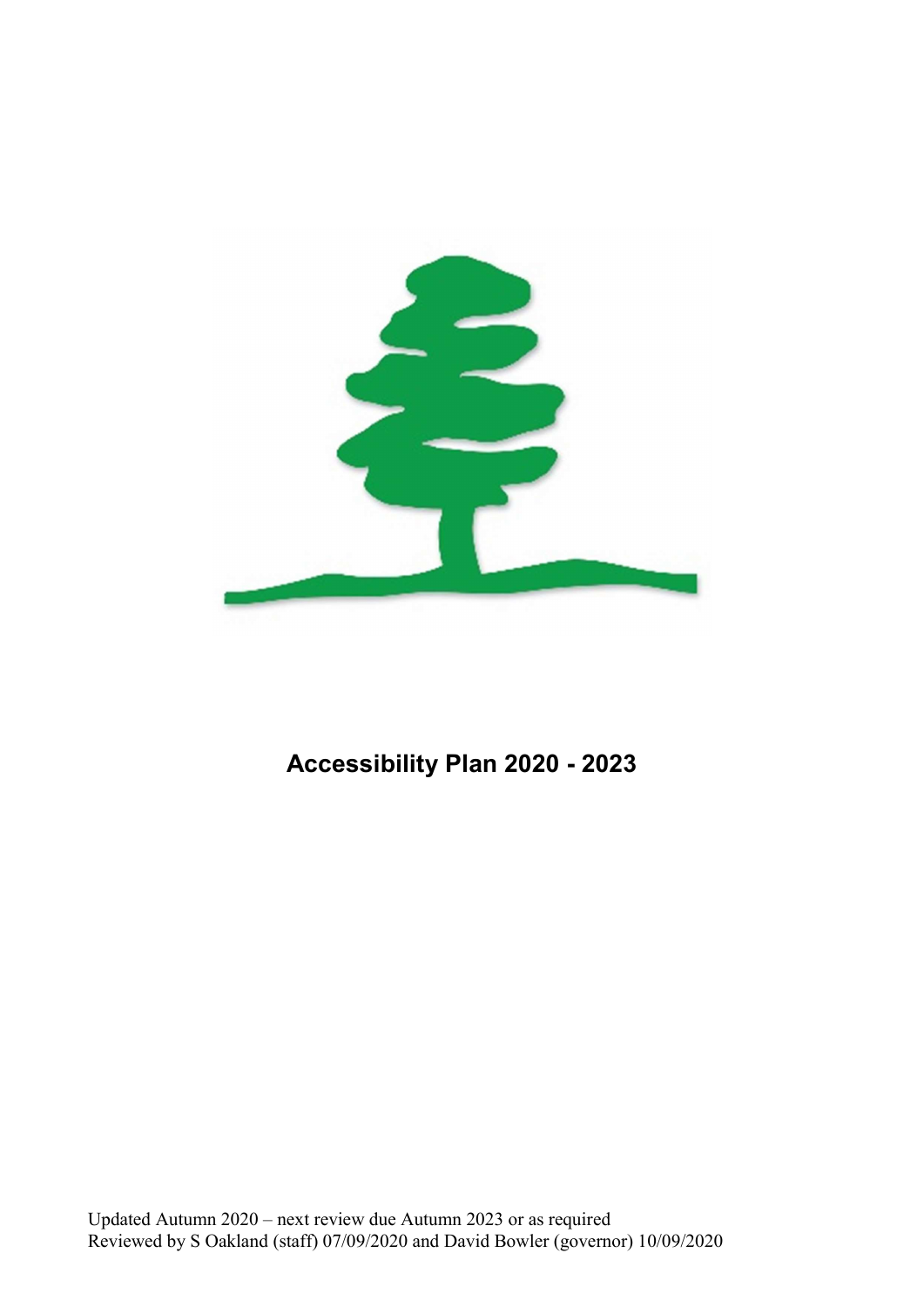

# Accessibility Plan 2020 - 2023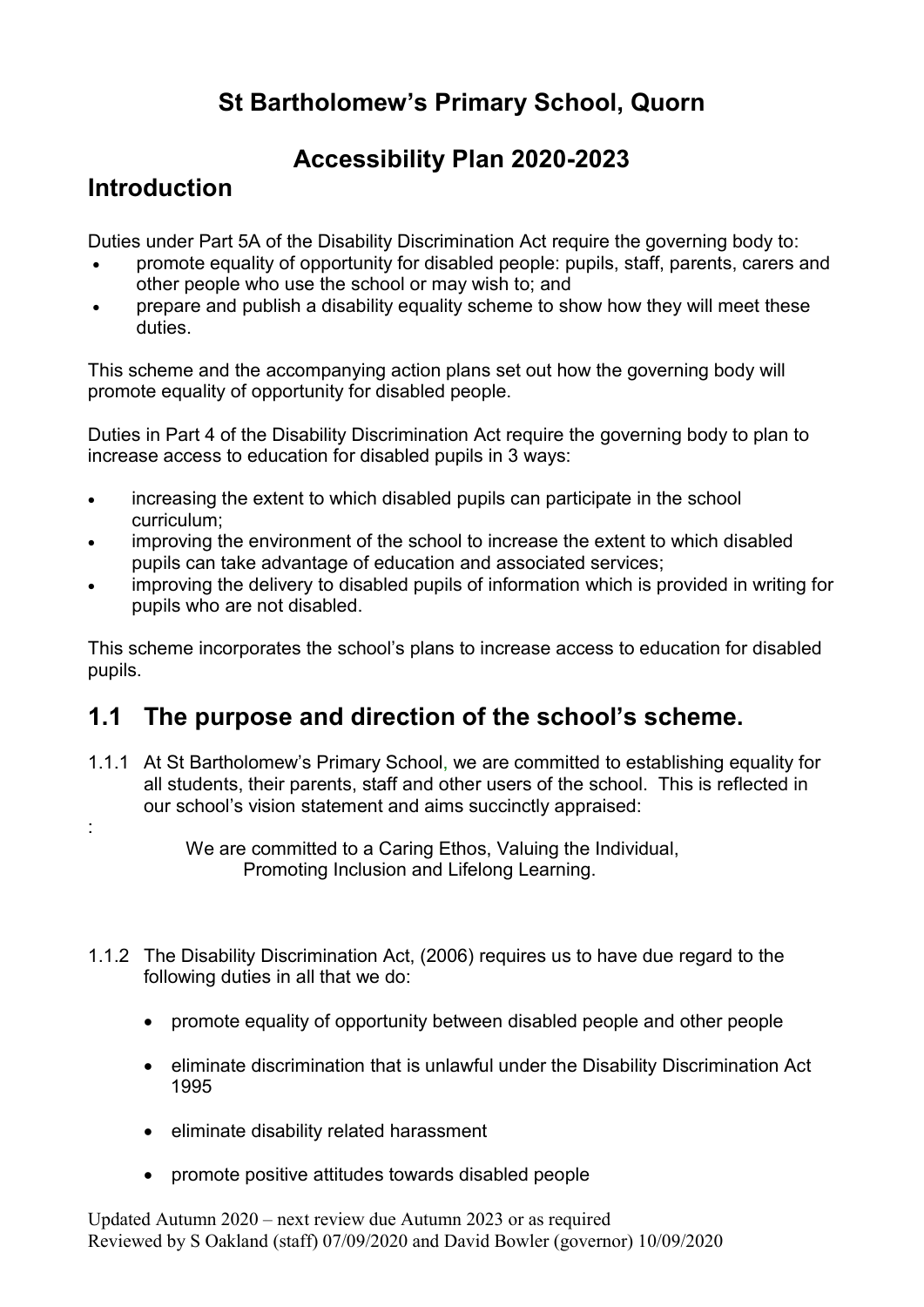# St Bartholomew's Primary School, Quorn

### Accessibility Plan 2020-2023

### Introduction

Duties under Part 5A of the Disability Discrimination Act require the governing body to:

- promote equality of opportunity for disabled people: pupils, staff, parents, carers and other people who use the school or may wish to; and
- prepare and publish a disability equality scheme to show how they will meet these duties.

This scheme and the accompanying action plans set out how the governing body will promote equality of opportunity for disabled people.

Duties in Part 4 of the Disability Discrimination Act require the governing body to plan to increase access to education for disabled pupils in 3 ways:

- increasing the extent to which disabled pupils can participate in the school curriculum;
- improving the environment of the school to increase the extent to which disabled pupils can take advantage of education and associated services;
- improving the delivery to disabled pupils of information which is provided in writing for pupils who are not disabled.

This scheme incorporates the school's plans to increase access to education for disabled pupils.

# 1.1 The purpose and direction of the school's scheme.

- 1.1.1 At St Bartholomew's Primary School, we are committed to establishing equality for all students, their parents, staff and other users of the school. This is reflected in our school's vision statement and aims succinctly appraised:
- :

- 1.1.2 The Disability Discrimination Act, (2006) requires us to have due regard to the following duties in all that we do:
	- promote equality of opportunity between disabled people and other people
	- eliminate discrimination that is unlawful under the Disability Discrimination Act 1995
	- eliminate disability related harassment
	- promote positive attitudes towards disabled people

We are committed to a Caring Ethos, Valuing the Individual, Promoting Inclusion and Lifelong Learning.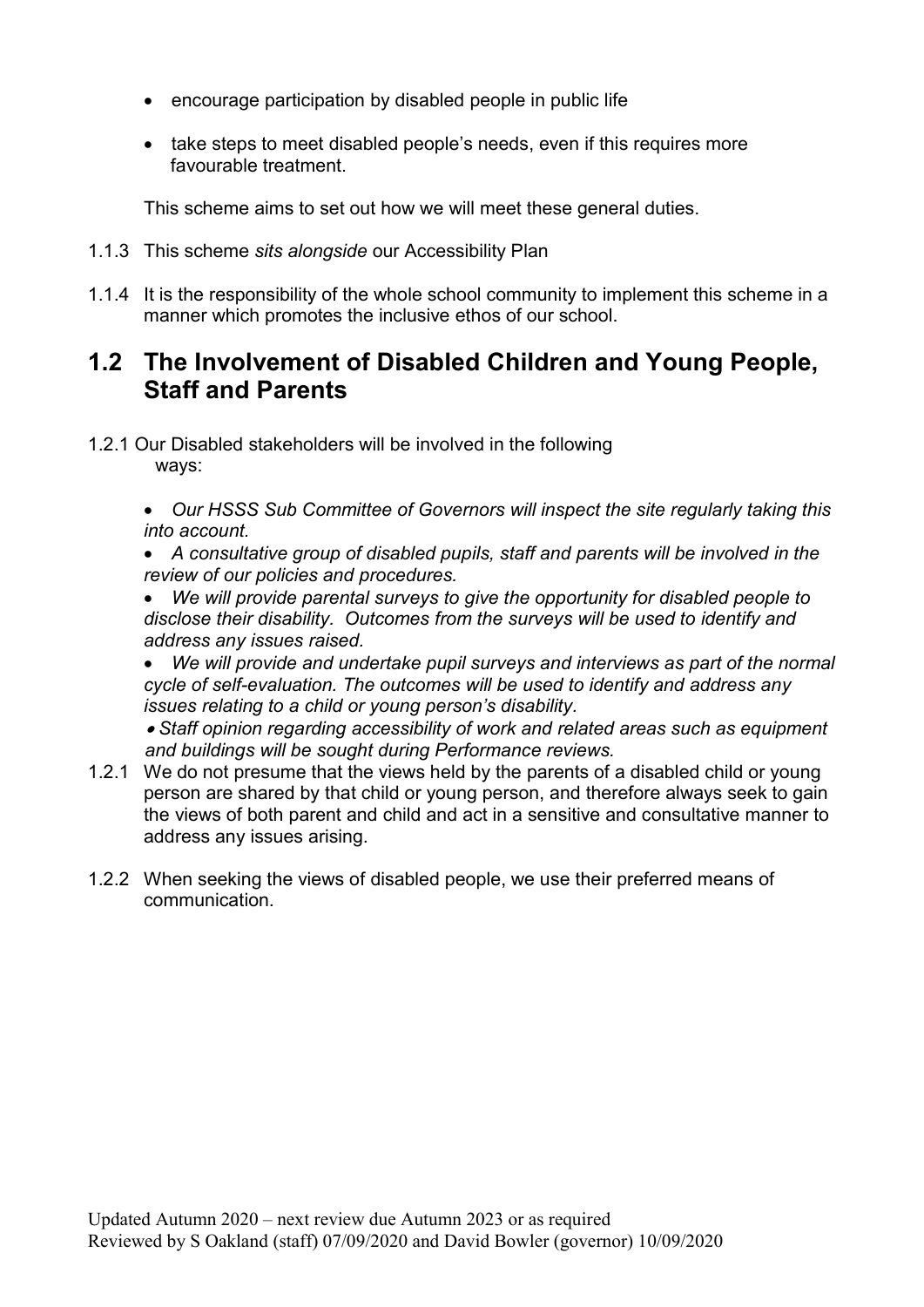- encourage participation by disabled people in public life
- take steps to meet disabled people's needs, even if this requires more favourable treatment.

This scheme aims to set out how we will meet these general duties.

- 1.1.3 This scheme sits alongside our Accessibility Plan
- 1.1.4 It is the responsibility of the whole school community to implement this scheme in a manner which promotes the inclusive ethos of our school.

### 1.2 The Involvement of Disabled Children and Young People, Staff and Parents

1.2.1 Our Disabled stakeholders will be involved in the following ways:

> Our HSSS Sub Committee of Governors will inspect the site regularly taking this into account.

- A consultative group of disabled pupils, staff and parents will be involved in the review of our policies and procedures.
- We will provide parental surveys to give the opportunity for disabled people to disclose their disability. Outcomes from the surveys will be used to identify and address any issues raised.

We will provide and undertake pupil surveys and interviews as part of the normal cycle of self-evaluation. The outcomes will be used to identify and address any issues relating to a child or young person's disability.

 Staff opinion regarding accessibility of work and related areas such as equipment and buildings will be sought during Performance reviews.

- 1.2.1 We do not presume that the views held by the parents of a disabled child or young person are shared by that child or young person, and therefore always seek to gain the views of both parent and child and act in a sensitive and consultative manner to address any issues arising.
- 1.2.2 When seeking the views of disabled people, we use their preferred means of communication.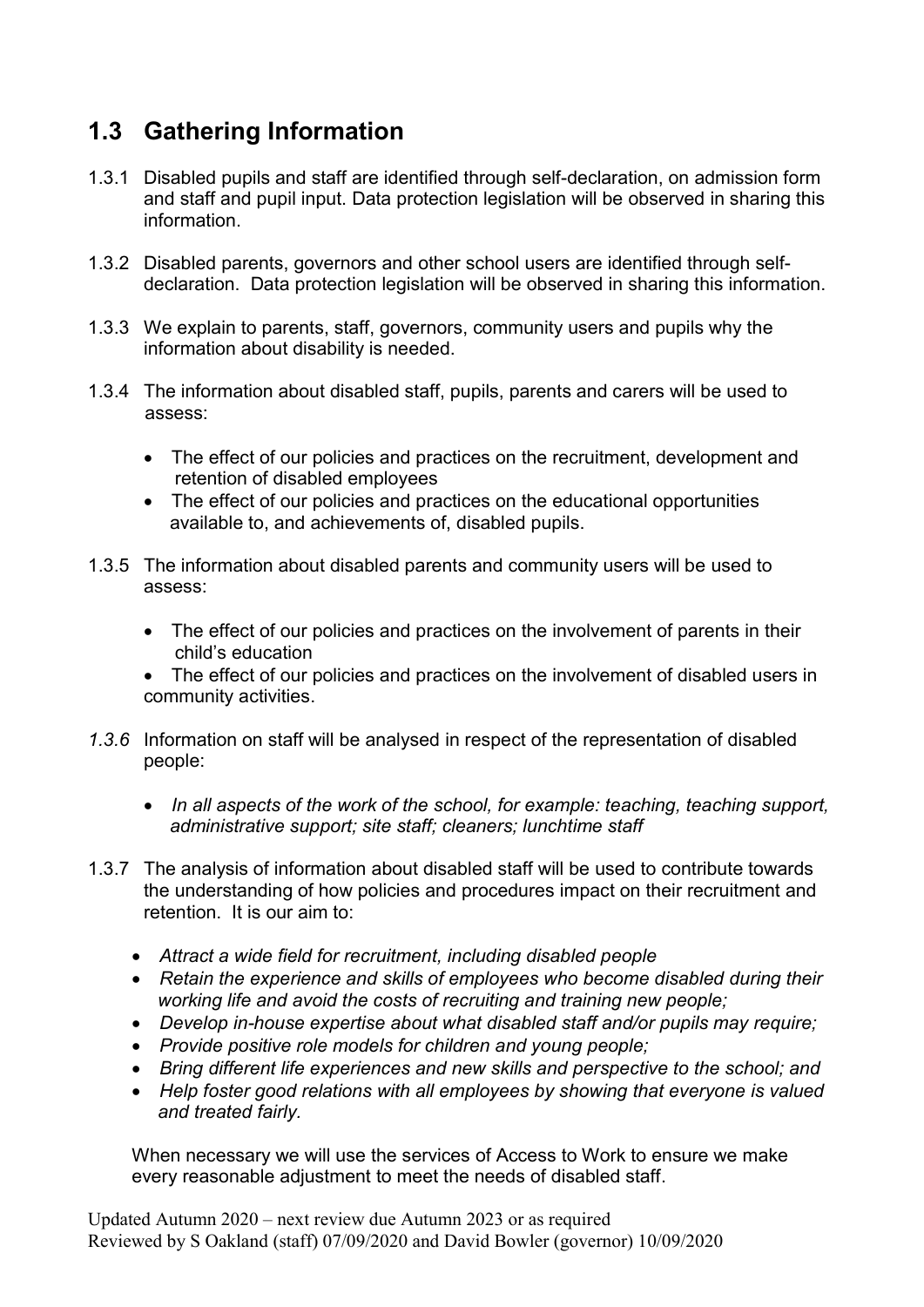# 1.3 Gathering Information

- 1.3.1 Disabled pupils and staff are identified through self-declaration, on admission form and staff and pupil input. Data protection legislation will be observed in sharing this information.
- 1.3.2 Disabled parents, governors and other school users are identified through selfdeclaration. Data protection legislation will be observed in sharing this information.
- 1.3.3 We explain to parents, staff, governors, community users and pupils why the information about disability is needed.
- 1.3.4 The information about disabled staff, pupils, parents and carers will be used to assess:
	- The effect of our policies and practices on the recruitment, development and retention of disabled employees
	- The effect of our policies and practices on the educational opportunities available to, and achievements of, disabled pupils.
- 1.3.5 The information about disabled parents and community users will be used to assess:
	- The effect of our policies and practices on the involvement of parents in their child's education
	- The effect of our policies and practices on the involvement of disabled users in community activities.
- 1.3.6 Information on staff will be analysed in respect of the representation of disabled people:
	- In all aspects of the work of the school, for example: teaching, teaching support, administrative support; site staff; cleaners; lunchtime staff
- 1.3.7 The analysis of information about disabled staff will be used to contribute towards the understanding of how policies and procedures impact on their recruitment and retention. It is our aim to:
	- Attract a wide field for recruitment, including disabled people
	- Retain the experience and skills of employees who become disabled during their working life and avoid the costs of recruiting and training new people;
	- Develop in-house expertise about what disabled staff and/or pupils may require;
	- Provide positive role models for children and young people;
	- Bring different life experiences and new skills and perspective to the school; and
	- Help foster good relations with all employees by showing that everyone is valued and treated fairly.

When necessary we will use the services of Access to Work to ensure we make every reasonable adjustment to meet the needs of disabled staff.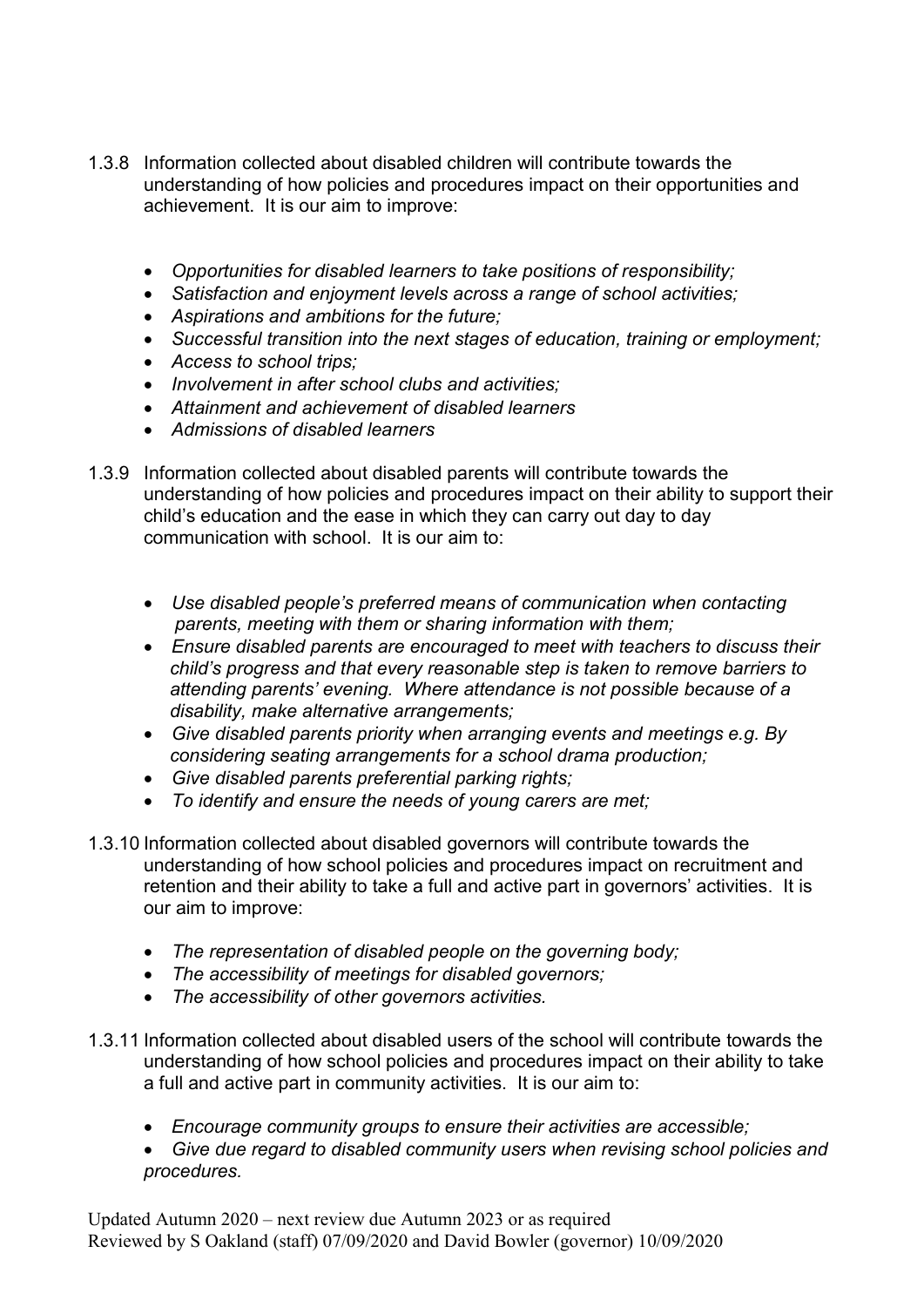- 1.3.8 Information collected about disabled children will contribute towards the understanding of how policies and procedures impact on their opportunities and achievement. It is our aim to improve:
	- Opportunities for disabled learners to take positions of responsibility;
	- Satisfaction and enjoyment levels across a range of school activities;
	- Aspirations and ambitions for the future;
	- Successful transition into the next stages of education, training or employment;
	- Access to school trips;
	- Involvement in after school clubs and activities:
	- Attainment and achievement of disabled learners
	- Admissions of disabled learners
- 1.3.9 Information collected about disabled parents will contribute towards the understanding of how policies and procedures impact on their ability to support their child's education and the ease in which they can carry out day to day communication with school. It is our aim to:
	- Use disabled people's preferred means of communication when contacting parents, meeting with them or sharing information with them;
	- Ensure disabled parents are encouraged to meet with teachers to discuss their child's progress and that every reasonable step is taken to remove barriers to attending parents' evening. Where attendance is not possible because of a disability, make alternative arrangements;
	- Give disabled parents priority when arranging events and meetings e.g. By considering seating arrangements for a school drama production;
	- Give disabled parents preferential parking rights;
	- To identify and ensure the needs of young carers are met;
- 1.3.10 Information collected about disabled governors will contribute towards the understanding of how school policies and procedures impact on recruitment and retention and their ability to take a full and active part in governors' activities. It is our aim to improve:
	- The representation of disabled people on the governing body;
	- The accessibility of meetings for disabled governors;
	- The accessibility of other governors activities.
- 1.3.11 Information collected about disabled users of the school will contribute towards the understanding of how school policies and procedures impact on their ability to take a full and active part in community activities. It is our aim to:
	- Encourage community groups to ensure their activities are accessible;
	- Give due regard to disabled community users when revising school policies and procedures.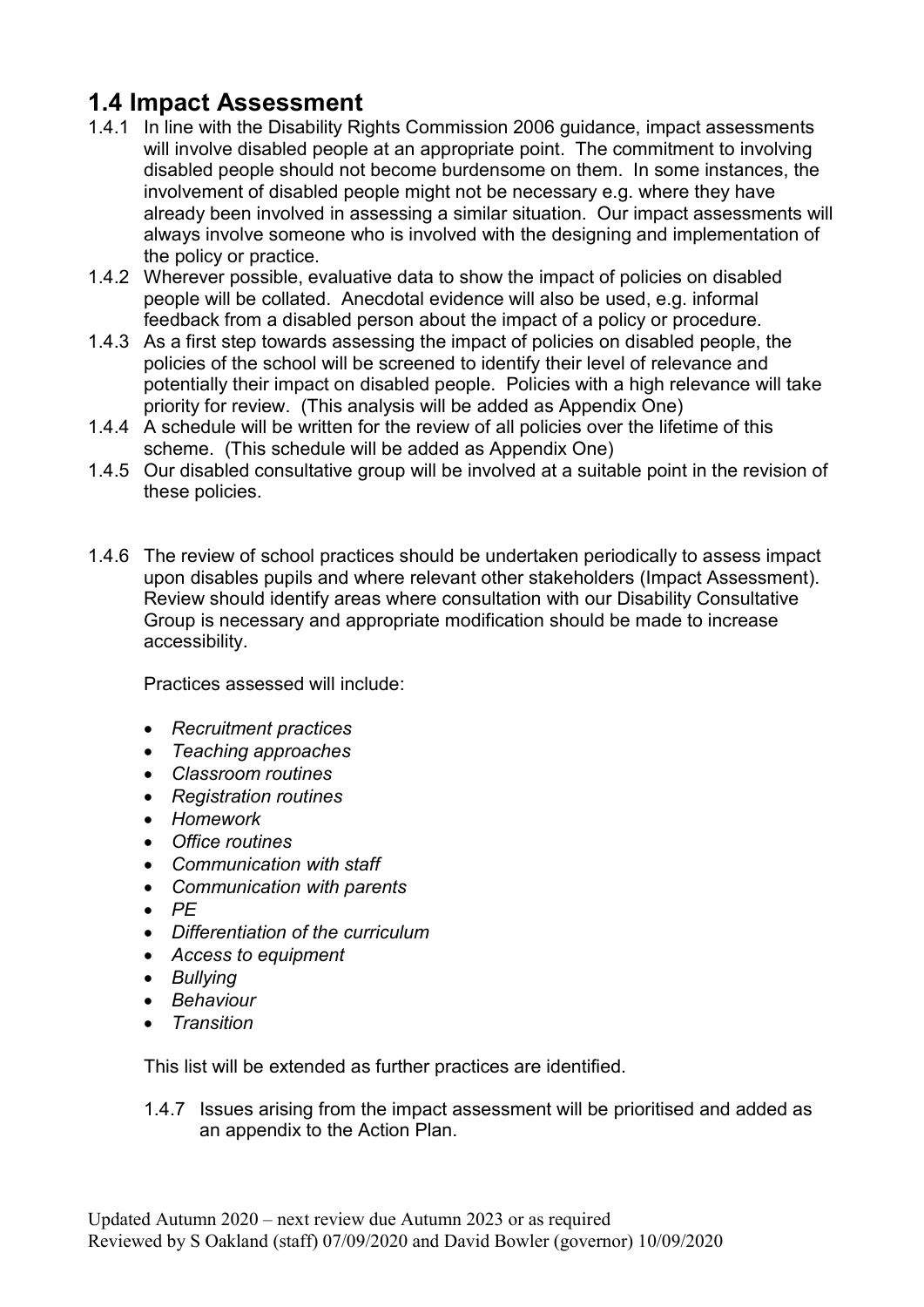### 1.4 Impact Assessment

- 1.4.1 In line with the Disability Rights Commission 2006 guidance, impact assessments will involve disabled people at an appropriate point. The commitment to involving disabled people should not become burdensome on them. In some instances, the involvement of disabled people might not be necessary e.g. where they have already been involved in assessing a similar situation. Our impact assessments will always involve someone who is involved with the designing and implementation of the policy or practice.
- 1.4.2 Wherever possible, evaluative data to show the impact of policies on disabled people will be collated. Anecdotal evidence will also be used, e.g. informal feedback from a disabled person about the impact of a policy or procedure.
- 1.4.3 As a first step towards assessing the impact of policies on disabled people, the policies of the school will be screened to identify their level of relevance and potentially their impact on disabled people. Policies with a high relevance will take priority for review. (This analysis will be added as Appendix One)
- 1.4.4 A schedule will be written for the review of all policies over the lifetime of this scheme. (This schedule will be added as Appendix One)
- 1.4.5 Our disabled consultative group will be involved at a suitable point in the revision of these policies.
- 1.4.6 The review of school practices should be undertaken periodically to assess impact upon disables pupils and where relevant other stakeholders (Impact Assessment). Review should identify areas where consultation with our Disability Consultative Group is necessary and appropriate modification should be made to increase accessibility.

Practices assessed will include:

- Recruitment practices
- Teaching approaches
- Classroom routines
- Registration routines
- Homework
- Office routines
- Communication with staff
- Communication with parents
- $\bullet$  PE
- Differentiation of the curriculum
- Access to equipment
- Bullying
- Behaviour
- Transition

This list will be extended as further practices are identified.

1.4.7 Issues arising from the impact assessment will be prioritised and added as an appendix to the Action Plan.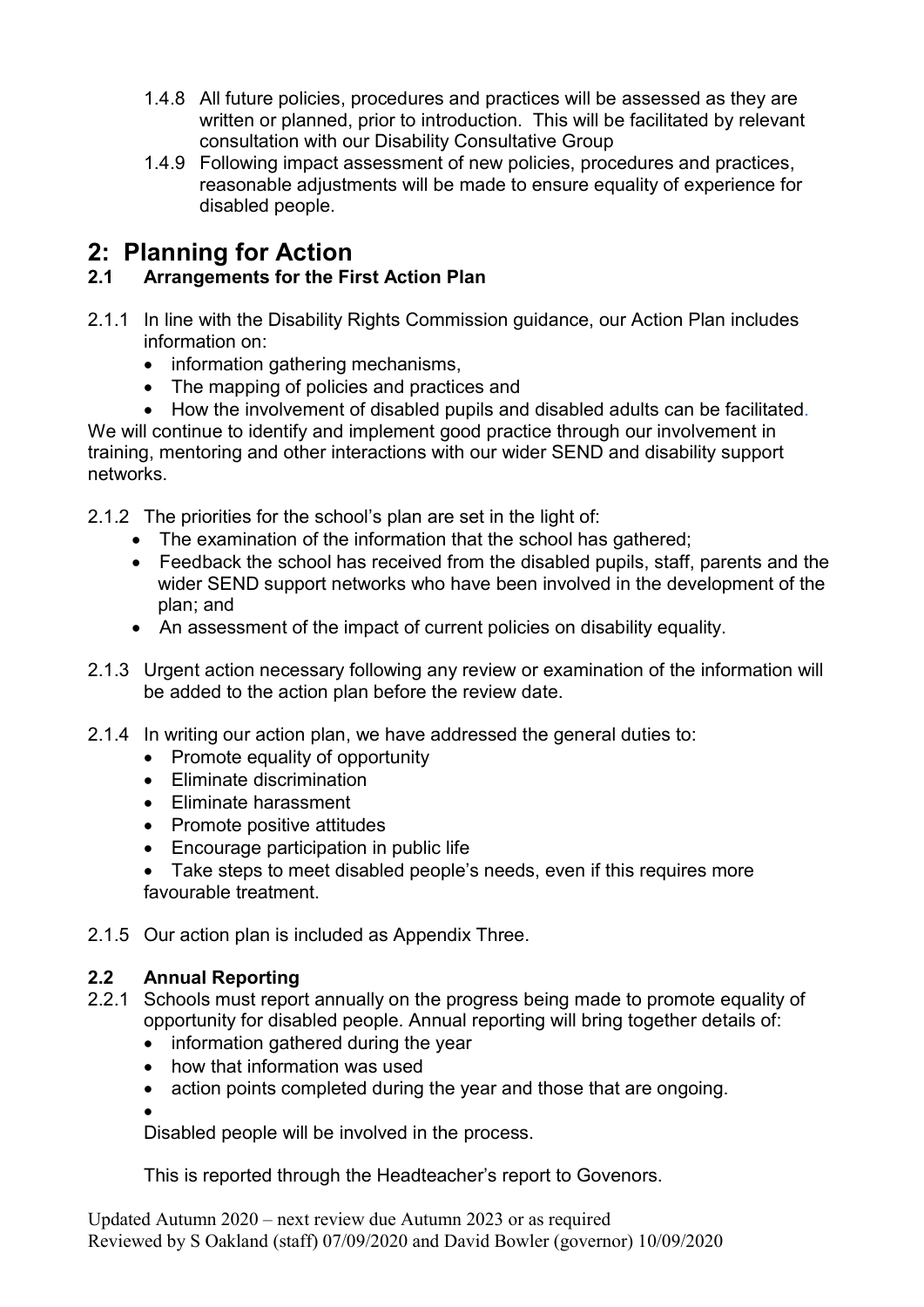- 1.4.8 All future policies, procedures and practices will be assessed as they are written or planned, prior to introduction. This will be facilitated by relevant consultation with our Disability Consultative Group
- 1.4.9 Following impact assessment of new policies, procedures and practices, reasonable adjustments will be made to ensure equality of experience for disabled people.

### 2: Planning for Action

#### 2.1 Arrangements for the First Action Plan

- 2.1.1 In line with the Disability Rights Commission guidance, our Action Plan includes information on:
	- information gathering mechanisms,
	- The mapping of policies and practices and

 How the involvement of disabled pupils and disabled adults can be facilitated. We will continue to identify and implement good practice through our involvement in training, mentoring and other interactions with our wider SEND and disability support networks.

2.1.2 The priorities for the school's plan are set in the light of:

- The examination of the information that the school has gathered;
- Feedback the school has received from the disabled pupils, staff, parents and the wider SEND support networks who have been involved in the development of the plan; and
- An assessment of the impact of current policies on disability equality.
- 2.1.3 Urgent action necessary following any review or examination of the information will be added to the action plan before the review date.
- 2.1.4 In writing our action plan, we have addressed the general duties to:
	- Promote equality of opportunity
	- Fliminate discrimination
	- Eliminate harassment
	- Promote positive attitudes
	- Encourage participation in public life
	- Take steps to meet disabled people's needs, even if this requires more favourable treatment.
- 2.1.5 Our action plan is included as Appendix Three.

#### 2.2 Annual Reporting

- 2.2.1 Schools must report annually on the progress being made to promote equality of opportunity for disabled people. Annual reporting will bring together details of:
	- information gathered during the year
	- how that information was used
	- action points completed during the year and those that are ongoing.

 $\bullet$ Disabled people will be involved in the process.

This is reported through the Headteacher's report to Govenors.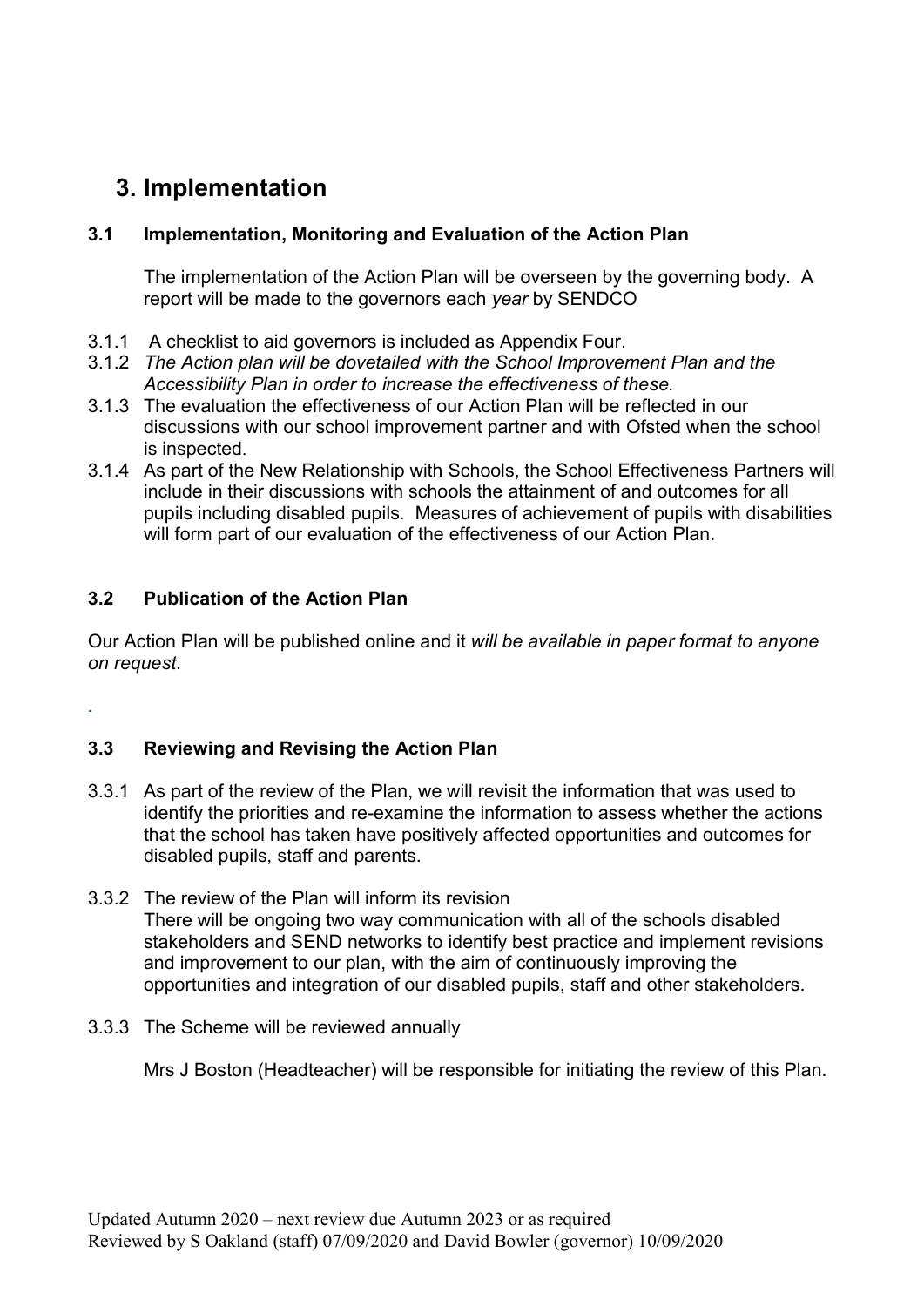# 3. Implementation

#### 3.1 Implementation, Monitoring and Evaluation of the Action Plan

The implementation of the Action Plan will be overseen by the governing body. A report will be made to the governors each year by SENDCO

- 3.1.1 A checklist to aid governors is included as Appendix Four.
- 3.1.2 The Action plan will be dovetailed with the School Improvement Plan and the Accessibility Plan in order to increase the effectiveness of these.
- 3.1.3 The evaluation the effectiveness of our Action Plan will be reflected in our discussions with our school improvement partner and with Ofsted when the school is inspected.
- 3.1.4 As part of the New Relationship with Schools, the School Effectiveness Partners will include in their discussions with schools the attainment of and outcomes for all pupils including disabled pupils. Measures of achievement of pupils with disabilities will form part of our evaluation of the effectiveness of our Action Plan.

#### 3.2 Publication of the Action Plan

.

Our Action Plan will be published online and it will be available in paper format to anyone on request.

#### 3.3 Reviewing and Revising the Action Plan

- 3.3.1 As part of the review of the Plan, we will revisit the information that was used to identify the priorities and re-examine the information to assess whether the actions that the school has taken have positively affected opportunities and outcomes for disabled pupils, staff and parents.
- 3.3.2 The review of the Plan will inform its revision There will be ongoing two way communication with all of the schools disabled stakeholders and SEND networks to identify best practice and implement revisions and improvement to our plan, with the aim of continuously improving the opportunities and integration of our disabled pupils, staff and other stakeholders.
- 3.3.3 The Scheme will be reviewed annually

Mrs J Boston (Headteacher) will be responsible for initiating the review of this Plan.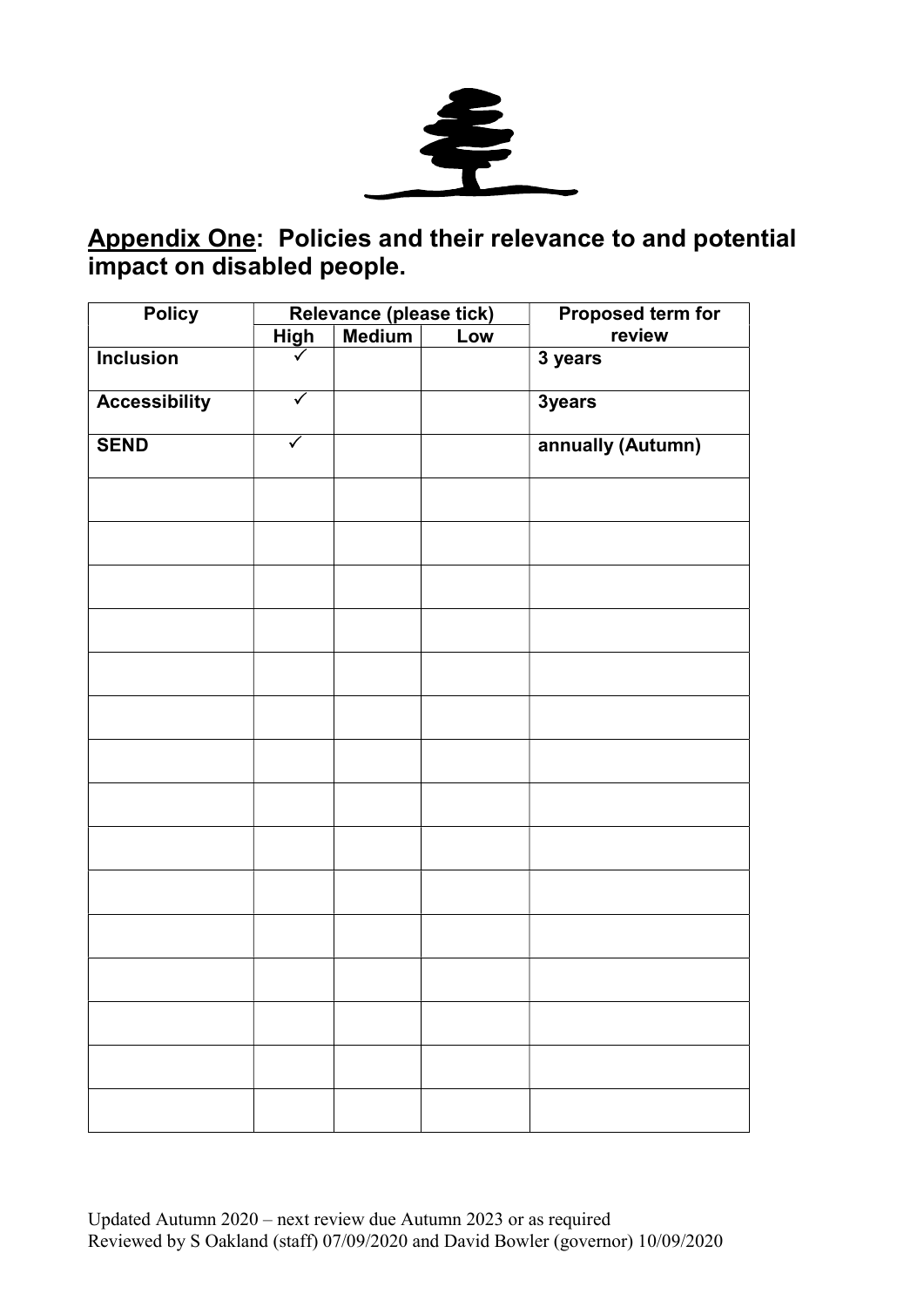

### Appendix One: Policies and their relevance to and potential impact on disabled people.

| <b>Policy</b>        |                      | Relevance (please tick) |     | Proposed term for |
|----------------------|----------------------|-------------------------|-----|-------------------|
|                      | <b>High</b>          | <b>Medium</b>           | Low | review            |
| <b>Inclusion</b>     |                      |                         |     | 3 years           |
| <b>Accessibility</b> | $\blacktriangledown$ |                         |     | 3years            |
| <b>SEND</b>          | $\checkmark$         |                         |     | annually (Autumn) |
|                      |                      |                         |     |                   |
|                      |                      |                         |     |                   |
|                      |                      |                         |     |                   |
|                      |                      |                         |     |                   |
|                      |                      |                         |     |                   |
|                      |                      |                         |     |                   |
|                      |                      |                         |     |                   |
|                      |                      |                         |     |                   |
|                      |                      |                         |     |                   |
|                      |                      |                         |     |                   |
|                      |                      |                         |     |                   |
|                      |                      |                         |     |                   |
|                      |                      |                         |     |                   |
|                      |                      |                         |     |                   |
|                      |                      |                         |     |                   |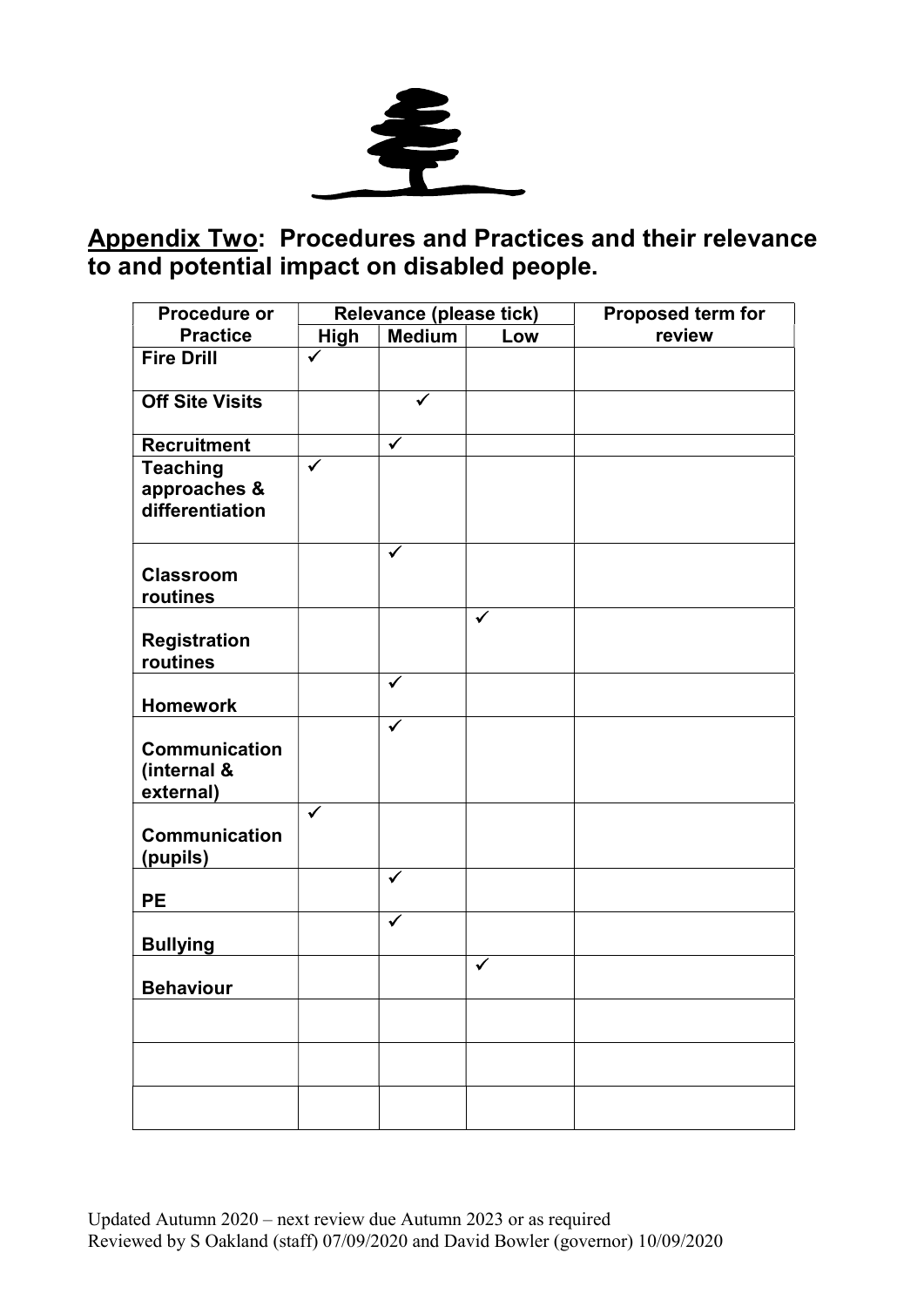

## Appendix Two: Procedures and Practices and their relevance to and potential impact on disabled people.

| Procedure or                                       | Relevance (please tick) |              |     | Proposed term for |  |  |
|----------------------------------------------------|-------------------------|--------------|-----|-------------------|--|--|
| <b>Practice</b>                                    | <b>High</b>             | Medium       | Low | review            |  |  |
| <b>Fire Drill</b>                                  | ✓                       |              |     |                   |  |  |
| <b>Off Site Visits</b>                             |                         | ✓            |     |                   |  |  |
| <b>Recruitment</b>                                 |                         | $\checkmark$ |     |                   |  |  |
| <b>Teaching</b><br>approaches &<br>differentiation | $\checkmark$            |              |     |                   |  |  |
| <b>Classroom</b><br>routines                       |                         |              |     |                   |  |  |
| <b>Registration</b><br>routines                    |                         |              | ✓   |                   |  |  |
| <b>Homework</b>                                    |                         | ✓            |     |                   |  |  |
| Communication<br>(internal &<br>external)          |                         | $\checkmark$ |     |                   |  |  |
| <b>Communication</b><br>(pupils)                   | $\checkmark$            |              |     |                   |  |  |
| <b>PE</b>                                          |                         | $\checkmark$ |     |                   |  |  |
| <b>Bullying</b>                                    |                         | ✓            |     |                   |  |  |
| <b>Behaviour</b>                                   |                         |              | ✓   |                   |  |  |
|                                                    |                         |              |     |                   |  |  |
|                                                    |                         |              |     |                   |  |  |
|                                                    |                         |              |     |                   |  |  |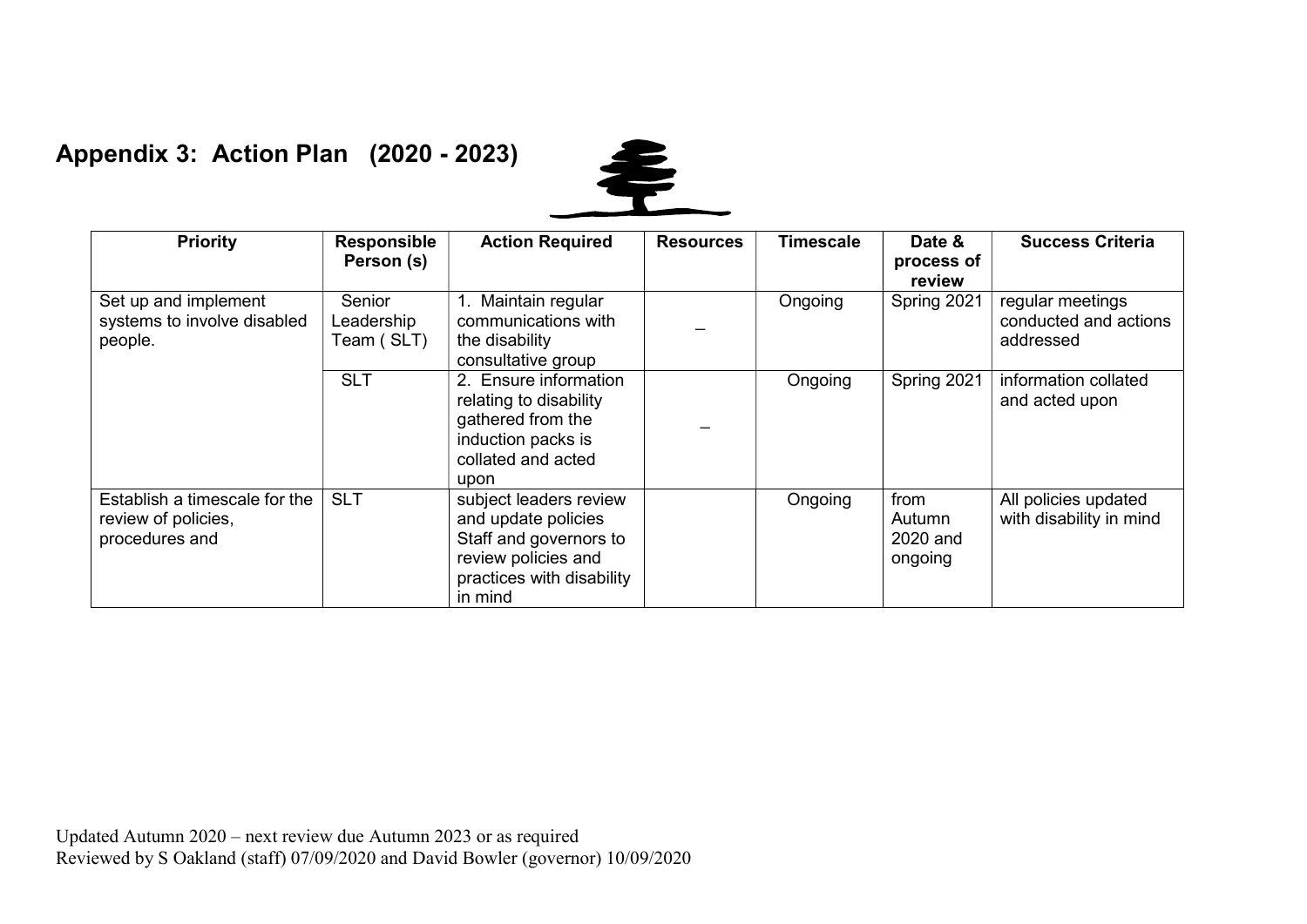### Appendix 3: Action Plan (2020 - 2023)



| <b>Priority</b>                                                        | <b>Responsible</b><br>Person (s)   | <b>Action Required</b>                                                                                                                 | <b>Resources</b> | <b>Timescale</b> | Date &<br>process of<br>review        | <b>Success Criteria</b>                                |
|------------------------------------------------------------------------|------------------------------------|----------------------------------------------------------------------------------------------------------------------------------------|------------------|------------------|---------------------------------------|--------------------------------------------------------|
| Set up and implement<br>systems to involve disabled<br>people.         | Senior<br>Leadership<br>Team (SLT) | 1. Maintain regular<br>communications with<br>the disability<br>consultative group                                                     |                  | Ongoing          | Spring 2021                           | regular meetings<br>conducted and actions<br>addressed |
|                                                                        | <b>SLT</b>                         | 2. Ensure information<br>relating to disability<br>gathered from the<br>induction packs is<br>collated and acted<br>upon               |                  | Ongoing          | Spring 2021                           | information collated<br>and acted upon                 |
| Establish a timescale for the<br>review of policies,<br>procedures and | <b>SLT</b>                         | subject leaders review<br>and update policies<br>Staff and governors to<br>review policies and<br>practices with disability<br>in mind |                  | Ongoing          | from<br>Autumn<br>2020 and<br>ongoing | All policies updated<br>with disability in mind        |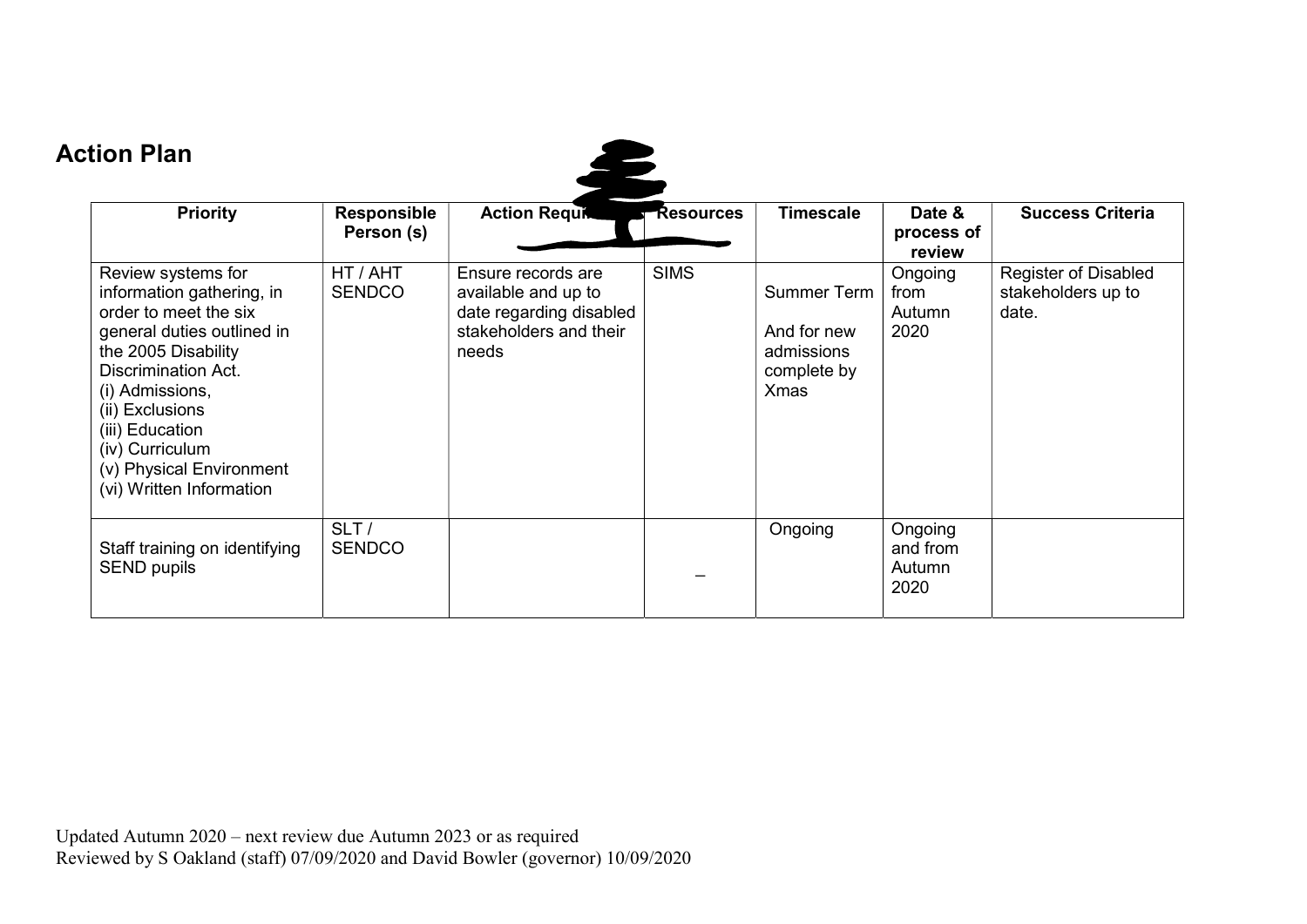# Action Plan

| <b>Priority</b>                                                                                                                                                                                                                                                                                 | <b>Responsible</b><br>Person (s) | <b>Action Requit</b>                                                                                    | <b>Resources</b> | <b>Timescale</b>                                                              | Date &<br>process of<br>review        | <b>Success Criteria</b>                                    |
|-------------------------------------------------------------------------------------------------------------------------------------------------------------------------------------------------------------------------------------------------------------------------------------------------|----------------------------------|---------------------------------------------------------------------------------------------------------|------------------|-------------------------------------------------------------------------------|---------------------------------------|------------------------------------------------------------|
| Review systems for<br>information gathering, in<br>order to meet the six<br>general duties outlined in<br>the 2005 Disability<br><b>Discrimination Act.</b><br>(i) Admissions,<br>(ii) Exclusions<br>(iii) Education<br>(iv) Curriculum<br>(v) Physical Environment<br>(vi) Written Information | HT / AHT<br><b>SENDCO</b>        | Ensure records are<br>available and up to<br>date regarding disabled<br>stakeholders and their<br>needs | <b>SIMS</b>      | <b>Summer Term</b><br>And for new<br>admissions<br>complete by<br><b>Xmas</b> | Ongoing<br>from<br>Autumn<br>2020     | <b>Register of Disabled</b><br>stakeholders up to<br>date. |
| Staff training on identifying<br><b>SEND pupils</b>                                                                                                                                                                                                                                             | SLT/<br><b>SENDCO</b>            |                                                                                                         |                  | Ongoing                                                                       | Ongoing<br>and from<br>Autumn<br>2020 |                                                            |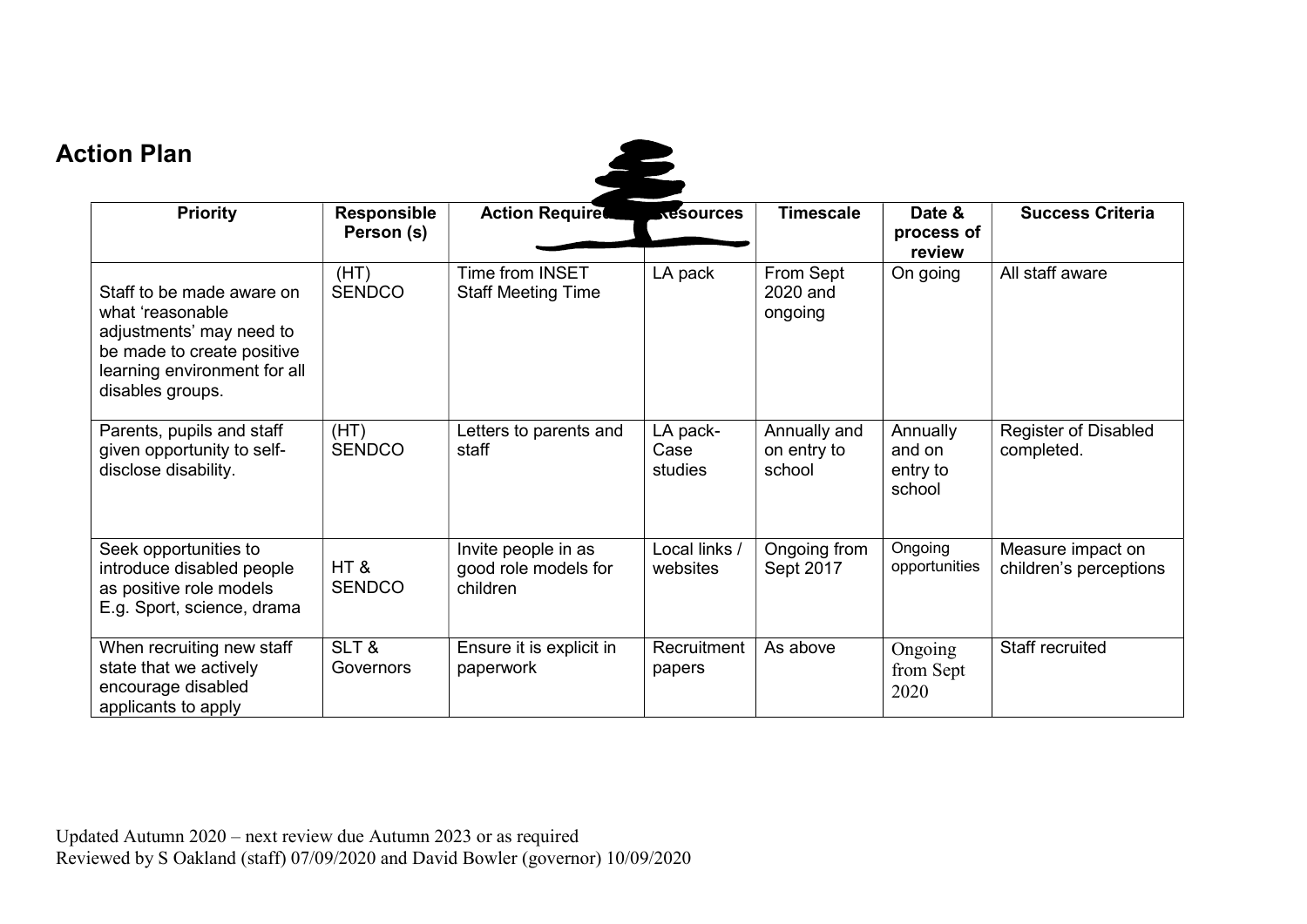## Action Plan



| <b>Priority</b>                                                                                                                                             | <b>Responsible</b><br>Person (s) | <b>Action Required Action Required Action</b>           |                             | <b>Timescale</b>                      | Date &<br>process of<br>review           | <b>Success Criteria</b>                     |
|-------------------------------------------------------------------------------------------------------------------------------------------------------------|----------------------------------|---------------------------------------------------------|-----------------------------|---------------------------------------|------------------------------------------|---------------------------------------------|
| Staff to be made aware on<br>what 'reasonable<br>adjustments' may need to<br>be made to create positive<br>learning environment for all<br>disables groups. | (HT)<br><b>SENDCO</b>            | Time from INSET<br><b>Staff Meeting Time</b>            | LA pack                     | From Sept<br>2020 and<br>ongoing      | On going                                 | All staff aware                             |
| Parents, pupils and staff<br>given opportunity to self-<br>disclose disability.                                                                             | (HT)<br><b>SENDCO</b>            | Letters to parents and<br>staff                         | LA pack-<br>Case<br>studies | Annually and<br>on entry to<br>school | Annually<br>and on<br>entry to<br>school | <b>Register of Disabled</b><br>completed.   |
| Seek opportunities to<br>introduce disabled people<br>as positive role models<br>E.g. Sport, science, drama                                                 | HT&<br><b>SENDCO</b>             | Invite people in as<br>good role models for<br>children | Local links /<br>websites   | Ongoing from<br>Sept 2017             | Ongoing<br>opportunities                 | Measure impact on<br>children's perceptions |
| When recruiting new staff<br>state that we actively<br>encourage disabled<br>applicants to apply                                                            | SLT&<br>Governors                | Ensure it is explicit in<br>paperwork                   | Recruitment<br>papers       | As above                              | Ongoing<br>from Sept<br>2020             | Staff recruited                             |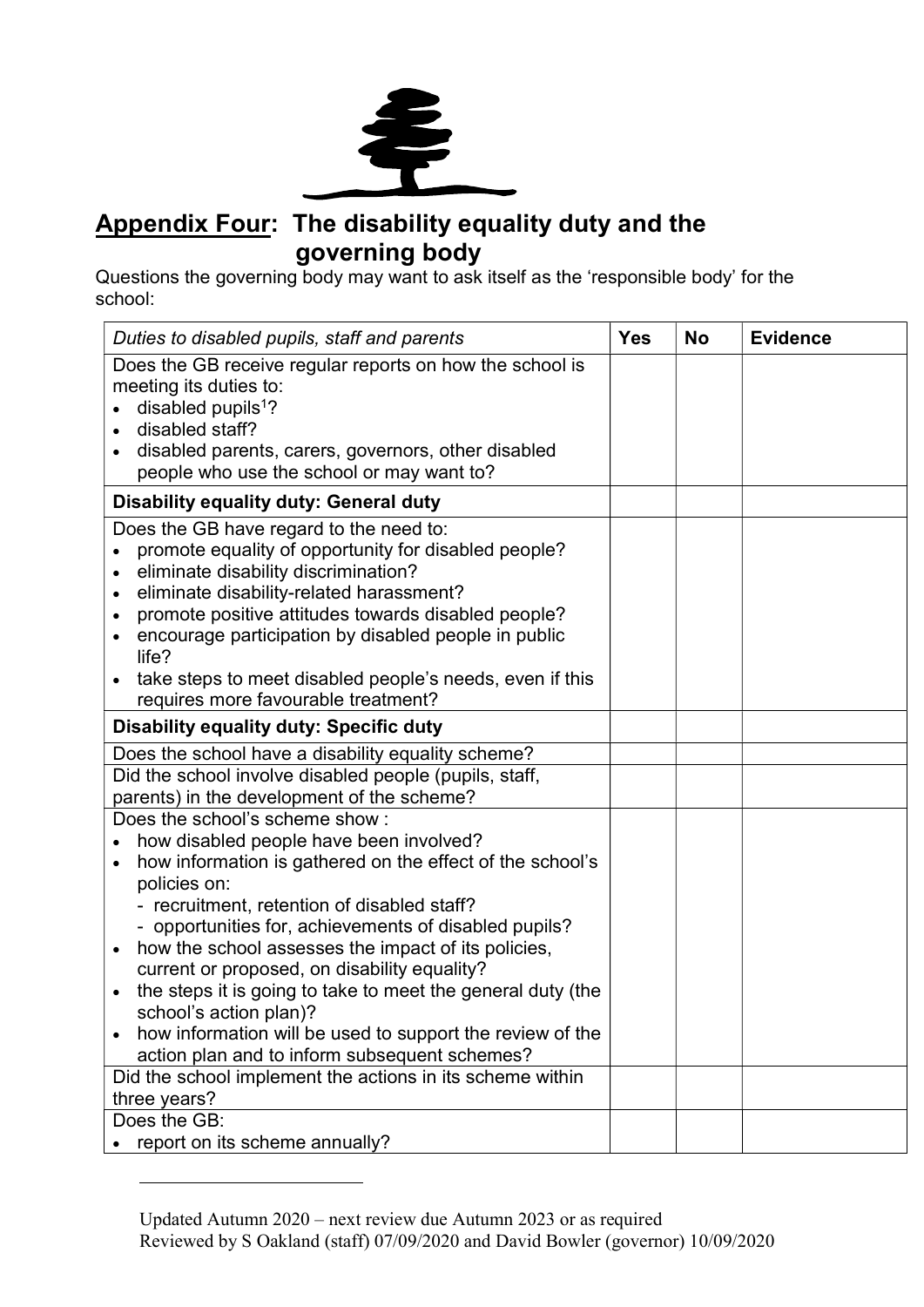

### Appendix Four: The disability equality duty and the governing body

Questions the governing body may want to ask itself as the 'responsible body' for the school:

| Duties to disabled pupils, staff and parents                                                                                                                                                                                                                                                                                                                                                                                                                                                                                                                                                                                                                                                  | <b>Yes</b> | <b>No</b> | <b>Evidence</b> |
|-----------------------------------------------------------------------------------------------------------------------------------------------------------------------------------------------------------------------------------------------------------------------------------------------------------------------------------------------------------------------------------------------------------------------------------------------------------------------------------------------------------------------------------------------------------------------------------------------------------------------------------------------------------------------------------------------|------------|-----------|-----------------|
| Does the GB receive regular reports on how the school is<br>meeting its duties to:<br>disabled pupils <sup>1</sup> ?<br>disabled staff?<br>disabled parents, carers, governors, other disabled<br>$\bullet$<br>people who use the school or may want to?                                                                                                                                                                                                                                                                                                                                                                                                                                      |            |           |                 |
| <b>Disability equality duty: General duty</b>                                                                                                                                                                                                                                                                                                                                                                                                                                                                                                                                                                                                                                                 |            |           |                 |
| Does the GB have regard to the need to:<br>promote equality of opportunity for disabled people?<br>eliminate disability discrimination?<br>eliminate disability-related harassment?<br>$\bullet$<br>promote positive attitudes towards disabled people?<br>$\bullet$<br>encourage participation by disabled people in public<br>$\bullet$<br>life?<br>take steps to meet disabled people's needs, even if this<br>$\bullet$                                                                                                                                                                                                                                                                   |            |           |                 |
| requires more favourable treatment?                                                                                                                                                                                                                                                                                                                                                                                                                                                                                                                                                                                                                                                           |            |           |                 |
| <b>Disability equality duty: Specific duty</b>                                                                                                                                                                                                                                                                                                                                                                                                                                                                                                                                                                                                                                                |            |           |                 |
| Does the school have a disability equality scheme?                                                                                                                                                                                                                                                                                                                                                                                                                                                                                                                                                                                                                                            |            |           |                 |
| Did the school involve disabled people (pupils, staff,<br>parents) in the development of the scheme?                                                                                                                                                                                                                                                                                                                                                                                                                                                                                                                                                                                          |            |           |                 |
| Does the school's scheme show:<br>how disabled people have been involved?<br>how information is gathered on the effect of the school's<br>$\bullet$<br>policies on:<br>- recruitment, retention of disabled staff?<br>- opportunities for, achievements of disabled pupils?<br>how the school assesses the impact of its policies,<br>$\bullet$<br>current or proposed, on disability equality?<br>the steps it is going to take to meet the general duty (the<br>$\bullet$<br>school's action plan)?<br>how information will be used to support the review of the<br>$\bullet$<br>action plan and to inform subsequent schemes?<br>Did the school implement the actions in its scheme within |            |           |                 |
| three years?                                                                                                                                                                                                                                                                                                                                                                                                                                                                                                                                                                                                                                                                                  |            |           |                 |
| Does the GB:<br>report on its scheme annually?                                                                                                                                                                                                                                                                                                                                                                                                                                                                                                                                                                                                                                                |            |           |                 |

Updated Autumn 2020 – next review due Autumn 2023 or as required Reviewed by S Oakland (staff) 07/09/2020 and David Bowler (governor) 10/09/2020

 $\overline{a}$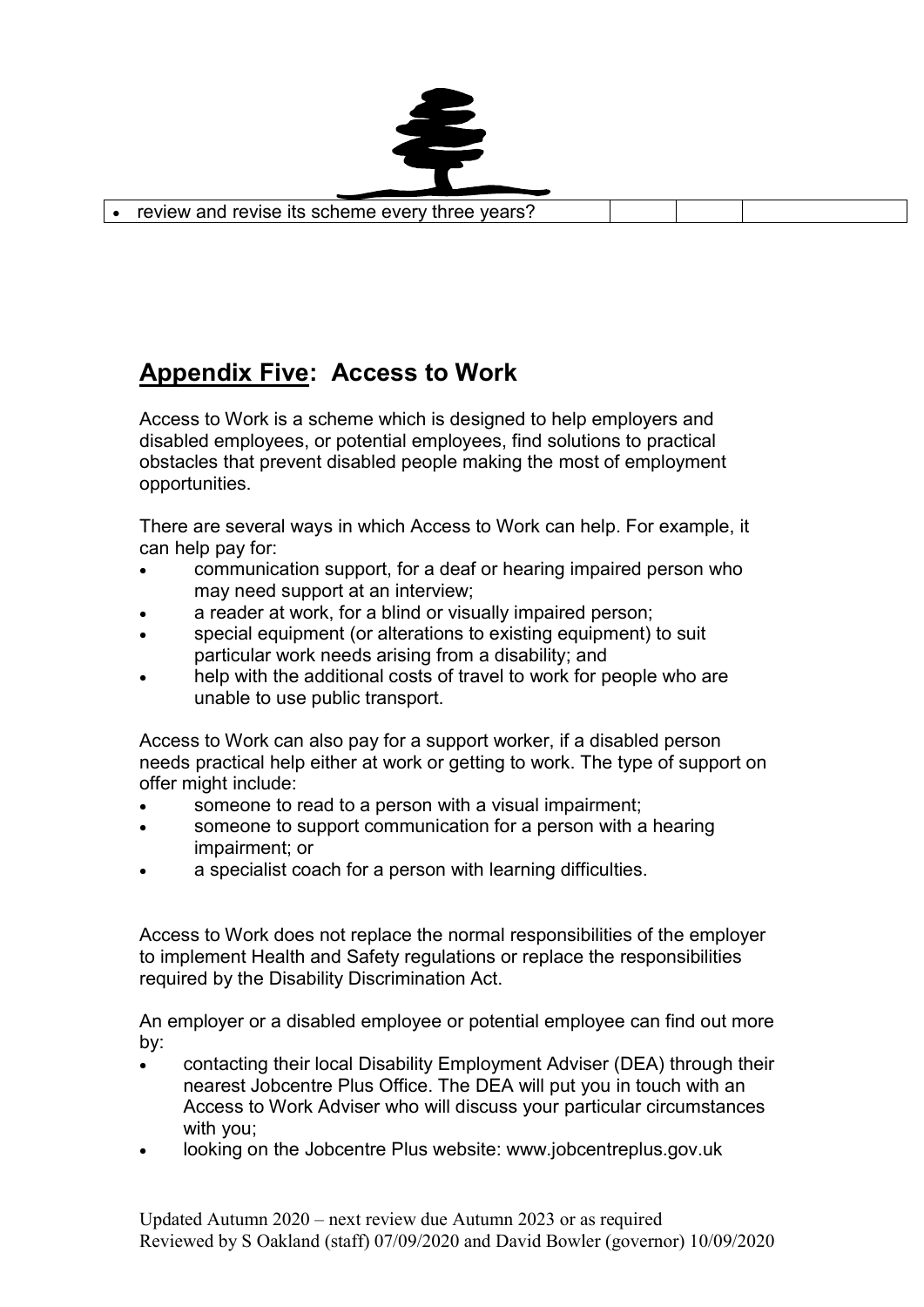

# Appendix Five: Access to Work

Access to Work is a scheme which is designed to help employers and disabled employees, or potential employees, find solutions to practical obstacles that prevent disabled people making the most of employment opportunities.

There are several ways in which Access to Work can help. For example, it can help pay for:

- communication support, for a deaf or hearing impaired person who may need support at an interview;
- a reader at work, for a blind or visually impaired person;
- special equipment (or alterations to existing equipment) to suit particular work needs arising from a disability; and
- help with the additional costs of travel to work for people who are unable to use public transport.

Access to Work can also pay for a support worker, if a disabled person needs practical help either at work or getting to work. The type of support on offer might include:

- someone to read to a person with a visual impairment;
- someone to support communication for a person with a hearing impairment; or
- a specialist coach for a person with learning difficulties.

Access to Work does not replace the normal responsibilities of the employer to implement Health and Safety regulations or replace the responsibilities required by the Disability Discrimination Act.

An employer or a disabled employee or potential employee can find out more by:

- contacting their local Disability Employment Adviser (DEA) through their nearest Jobcentre Plus Office. The DEA will put you in touch with an Access to Work Adviser who will discuss your particular circumstances with you;
- looking on the Jobcentre Plus website: www.jobcentreplus.gov.uk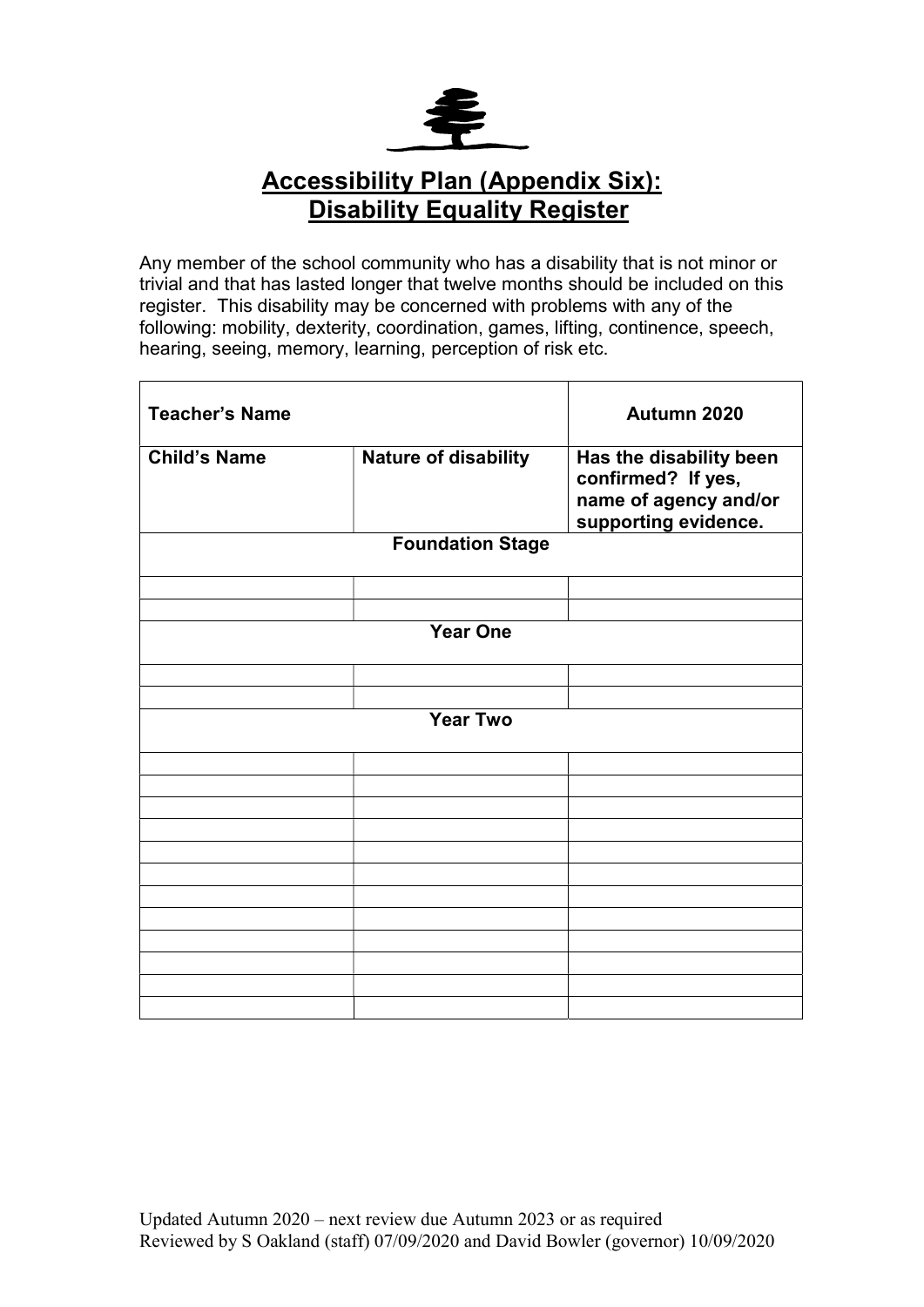

### Accessibility Plan (Appendix Six): **Disability Equality Register**

Any member of the school community who has a disability that is not minor or trivial and that has lasted longer that twelve months should be included on this register. This disability may be concerned with problems with any of the following: mobility, dexterity, coordination, games, lifting, continence, speech, hearing, seeing, memory, learning, perception of risk etc.

| <b>Teacher's Name</b> |                             | Autumn 2020                                                                                    |  |  |  |
|-----------------------|-----------------------------|------------------------------------------------------------------------------------------------|--|--|--|
| <b>Child's Name</b>   | <b>Nature of disability</b> | Has the disability been<br>confirmed? If yes,<br>name of agency and/or<br>supporting evidence. |  |  |  |
|                       | <b>Foundation Stage</b>     |                                                                                                |  |  |  |
|                       |                             |                                                                                                |  |  |  |
|                       |                             |                                                                                                |  |  |  |
|                       | <b>Year One</b>             |                                                                                                |  |  |  |
|                       |                             |                                                                                                |  |  |  |
|                       |                             |                                                                                                |  |  |  |
| <b>Year Two</b>       |                             |                                                                                                |  |  |  |
|                       |                             |                                                                                                |  |  |  |
|                       |                             |                                                                                                |  |  |  |
|                       |                             |                                                                                                |  |  |  |
|                       |                             |                                                                                                |  |  |  |
|                       |                             |                                                                                                |  |  |  |
|                       |                             |                                                                                                |  |  |  |
|                       |                             |                                                                                                |  |  |  |
|                       |                             |                                                                                                |  |  |  |
|                       |                             |                                                                                                |  |  |  |
|                       |                             |                                                                                                |  |  |  |
|                       |                             |                                                                                                |  |  |  |